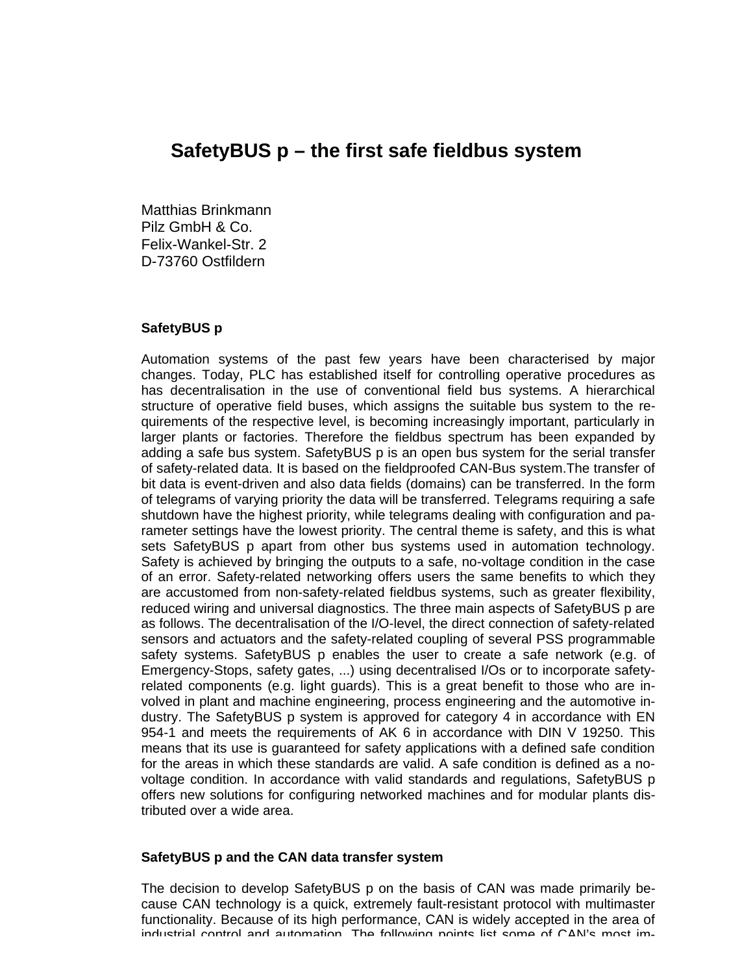# **SafetyBUS p – the first safe fieldbus system**

Matthias Brinkmann Pilz GmbH & Co. Felix-Wankel-Str. 2 D-73760 Ostfildern

### **SafetyBUS p**

Automation systems of the past few years have been characterised by major changes. Today, PLC has established itself for controlling operative procedures as has decentralisation in the use of conventional field bus systems. A hierarchical structure of operative field buses, which assigns the suitable bus system to the requirements of the respective level, is becoming increasingly important, particularly in larger plants or factories. Therefore the fieldbus spectrum has been expanded by adding a safe bus system. SafetyBUS p is an open bus system for the serial transfer of safety-related data. It is based on the fieldproofed CAN-Bus system.The transfer of bit data is event-driven and also data fields (domains) can be transferred. In the form of telegrams of varying priority the data will be transferred. Telegrams requiring a safe shutdown have the highest priority, while telegrams dealing with configuration and parameter settings have the lowest priority. The central theme is safety, and this is what sets SafetyBUS p apart from other bus systems used in automation technology. Safety is achieved by bringing the outputs to a safe, no-voltage condition in the case of an error. Safety-related networking offers users the same benefits to which they are accustomed from non-safety-related fieldbus systems, such as greater flexibility, reduced wiring and universal diagnostics. The three main aspects of SafetyBUS p are as follows. The decentralisation of the I/O-level, the direct connection of safety-related sensors and actuators and the safety-related coupling of several PSS programmable safety systems. SafetyBUS p enables the user to create a safe network (e.g. of Emergency-Stops, safety gates, ...) using decentralised I/Os or to incorporate safetyrelated components (e.g. light guards). This is a great benefit to those who are involved in plant and machine engineering, process engineering and the automotive industry. The SafetyBUS p system is approved for category 4 in accordance with EN 954-1 and meets the requirements of AK 6 in accordance with DIN V 19250. This means that its use is guaranteed for safety applications with a defined safe condition for the areas in which these standards are valid. A safe condition is defined as a novoltage condition. In accordance with valid standards and regulations, SafetyBUS p offers new solutions for configuring networked machines and for modular plants distributed over a wide area.

### **SafetyBUS p and the CAN data transfer system**

The decision to develop SafetyBUS p on the basis of CAN was made primarily because CAN technology is a quick, extremely fault-resistant protocol with multimaster functionality. Because of its high performance, CAN is widely accepted in the area of industrial control and automation. The following points list some of CAN's most im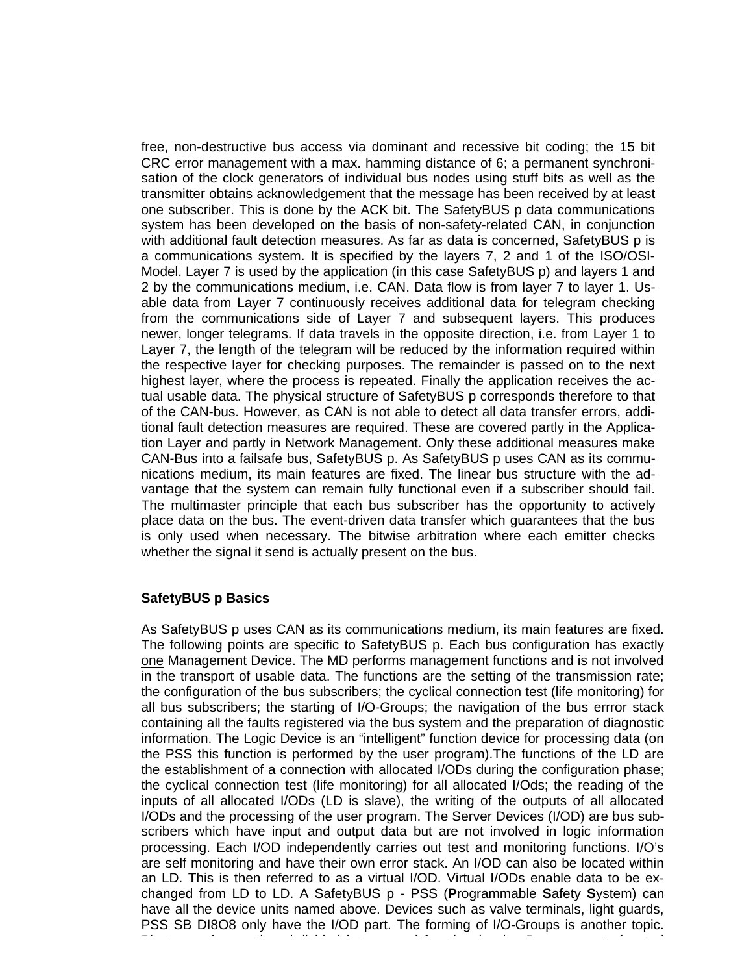free, non-destructive bus access via dominant and recessive bit coding; the 15 bit CRC error management with a max. hamming distance of 6; a permanent synchronisation of the clock generators of individual bus nodes using stuff bits as well as the transmitter obtains acknowledgement that the message has been received by at least one subscriber. This is done by the ACK bit. The SafetyBUS p data communications system has been developed on the basis of non-safety-related CAN, in conjunction with additional fault detection measures. As far as data is concerned, SafetyBUS p is a communications system. It is specified by the layers 7, 2 and 1 of the ISO/OSI-Model. Layer 7 is used by the application (in this case SafetyBUS p) and layers 1 and 2 by the communications medium, i.e. CAN. Data flow is from layer 7 to layer 1. Usable data from Layer 7 continuously receives additional data for telegram checking from the communications side of Layer 7 and subsequent layers. This produces newer, longer telegrams. If data travels in the opposite direction, i.e. from Layer 1 to Layer 7, the length of the telegram will be reduced by the information required within the respective layer for checking purposes. The remainder is passed on to the next highest layer, where the process is repeated. Finally the application receives the actual usable data. The physical structure of SafetyBUS p corresponds therefore to that of the CAN-bus. However, as CAN is not able to detect all data transfer errors, additional fault detection measures are required. These are covered partly in the Application Layer and partly in Network Management. Only these additional measures make CAN-Bus into a failsafe bus, SafetyBUS p. As SafetyBUS p uses CAN as its communications medium, its main features are fixed. The linear bus structure with the advantage that the system can remain fully functional even if a subscriber should fail. The multimaster principle that each bus subscriber has the opportunity to actively place data on the bus. The event-driven data transfer which guarantees that the bus is only used when necessary. The bitwise arbitration where each emitter checks whether the signal it send is actually present on the bus.

### **SafetyBUS p Basics**

As SafetyBUS p uses CAN as its communications medium, its main features are fixed. The following points are specific to SafetyBUS p. Each bus configuration has exactly one Management Device. The MD performs management functions and is not involved in the transport of usable data. The functions are the setting of the transmission rate; the configuration of the bus subscribers; the cyclical connection test (life monitoring) for all bus subscribers; the starting of I/O-Groups; the navigation of the bus errror stack containing all the faults registered via the bus system and the preparation of diagnostic information. The Logic Device is an "intelligent" function device for processing data (on the PSS this function is performed by the user program).The functions of the LD are the establishment of a connection with allocated I/ODs during the configuration phase; the cyclical connection test (life monitoring) for all allocated I/Ods; the reading of the inputs of all allocated I/ODs (LD is slave), the writing of the outputs of all allocated I/ODs and the processing of the user program. The Server Devices (I/OD) are bus subscribers which have input and output data but are not involved in logic information processing. Each I/OD independently carries out test and monitoring functions. I/O's are self monitoring and have their own error stack. An I/OD can also be located within an LD. This is then referred to as a virtual I/OD. Virtual I/ODs enable data to be exchanged from LD to LD. A SafetyBUS p - PSS (**P**rogrammable **S**afety **S**ystem) can have all the device units named above. Devices such as valve terminals, light guards, PSS SB DI8O8 only have the I/OD part. The forming of I/O-Groups is another topic. Plants are frequently subdivided into several functional units. Bus segments located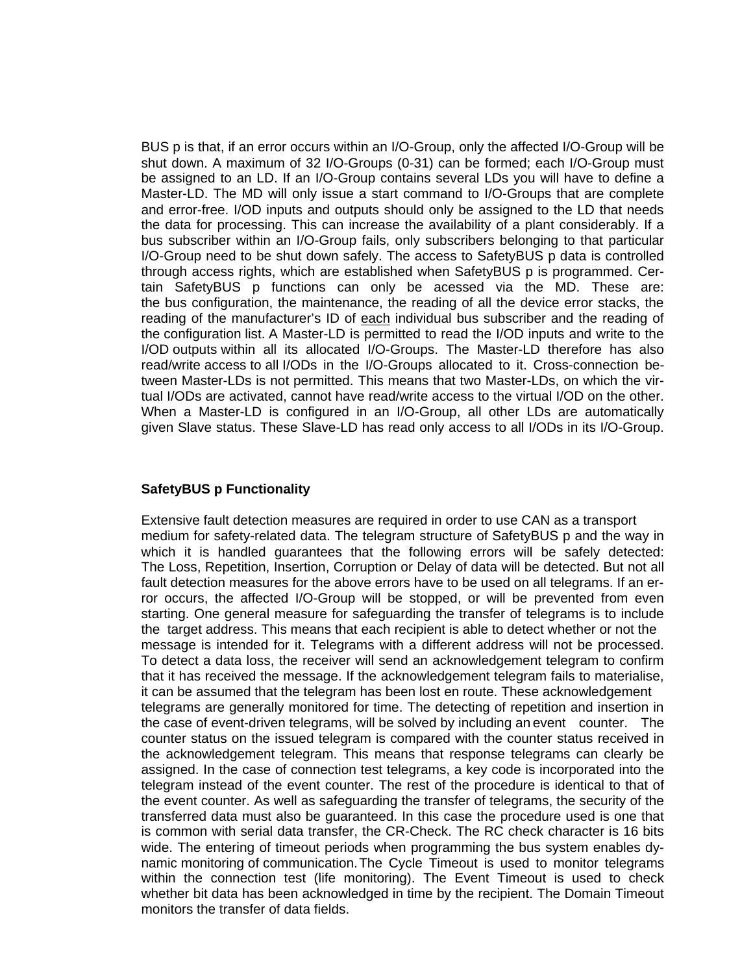BUS p is that, if an error occurs within an I/O-Group, only the affected I/O-Group will be shut down. A maximum of 32 I/O-Groups (0-31) can be formed; each I/O-Group must be assigned to an LD. If an I/O-Group contains several LDs you will have to define a Master-LD. The MD will only issue a start command to I/O-Groups that are complete and error-free. I/OD inputs and outputs should only be assigned to the LD that needs the data for processing. This can increase the availability of a plant considerably. If a bus subscriber within an I/O-Group fails, only subscribers belonging to that particular I/O-Group need to be shut down safely. The access to SafetyBUS p data is controlled through access rights, which are established when SafetyBUS p is programmed. Certain SafetyBUS p functions can only be acessed via the MD. These are: the bus configuration, the maintenance, the reading of all the device error stacks, the reading of the manufacturer's ID of each individual bus subscriber and the reading of the configuration list. A Master-LD is permitted to read the I/OD inputs and write to the I/OD outputs within all its allocated I/O-Groups. The Master-LD therefore has also read/write access to all I/ODs in the I/O-Groups allocated to it. Cross-connection between Master-LDs is not permitted. This means that two Master-LDs, on which the virtual I/ODs are activated, cannot have read/write access to the virtual I/OD on the other. When a Master-LD is configured in an I/O-Group, all other LDs are automatically given Slave status. These Slave-LD has read only access to all I/ODs in its I/O-Group.

## **SafetyBUS p Functionality**

Extensive fault detection measures are required in order to use CAN as a transport medium for safety-related data. The telegram structure of SafetyBUS p and the way in which it is handled guarantees that the following errors will be safely detected: The Loss, Repetition, Insertion, Corruption or Delay of data will be detected. But not all fault detection measures for the above errors have to be used on all telegrams. If an error occurs, the affected I/O-Group will be stopped, or will be prevented from even starting. One general measure for safeguarding the transfer of telegrams is to include the target address. This means that each recipient is able to detect whether or not the message is intended for it. Telegrams with a different address will not be processed. To detect a data loss, the receiver will send an acknowledgement telegram to confirm that it has received the message. If the acknowledgement telegram fails to materialise, it can be assumed that the telegram has been lost en route. These acknowledgement telegrams are generally monitored for time. The detecting of repetition and insertion in the case of event-driven telegrams, will be solved by including an event counter. The counter status on the issued telegram is compared with the counter status received in the acknowledgement telegram. This means that response telegrams can clearly be assigned. In the case of connection test telegrams, a key code is incorporated into the telegram instead of the event counter. The rest of the procedure is identical to that of the event counter. As well as safeguarding the transfer of telegrams, the security of the transferred data must also be guaranteed. In this case the procedure used is one that is common with serial data transfer, the CR-Check. The RC check character is 16 bits wide. The entering of timeout periods when programming the bus system enables dynamic monitoring of communication.The Cycle Timeout is used to monitor telegrams within the connection test (life monitoring). The Event Timeout is used to check whether bit data has been acknowledged in time by the recipient. The Domain Timeout monitors the transfer of data fields.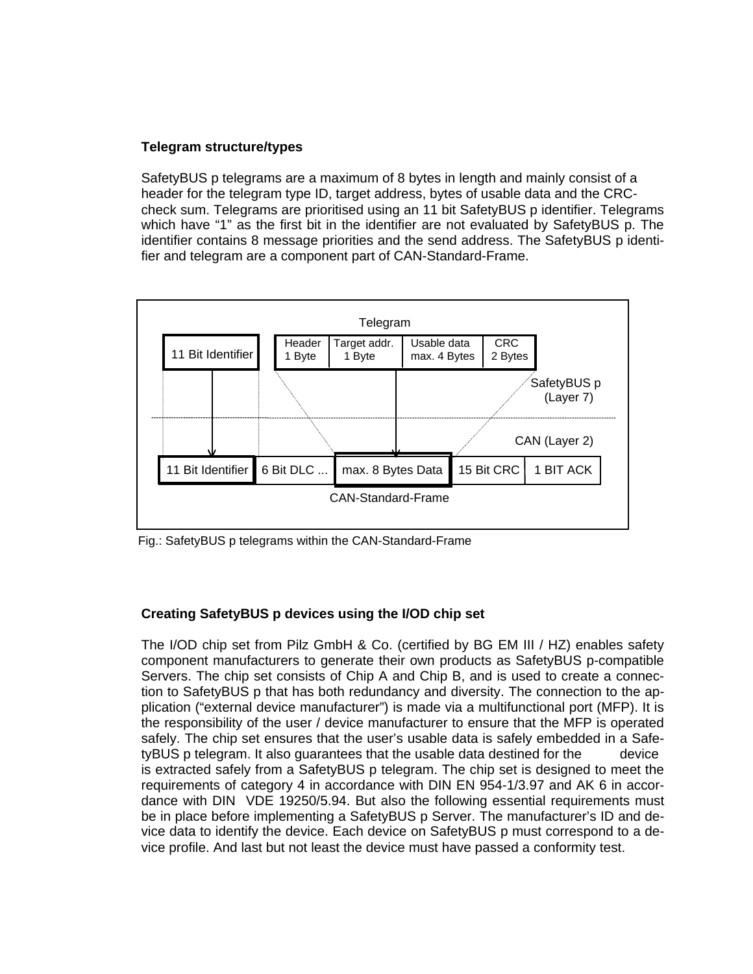## **Telegram structure/types**

SafetyBUS p telegrams are a maximum of 8 bytes in length and mainly consist of a header for the telegram type ID, target address, bytes of usable data and the CRCcheck sum. Telegrams are prioritised using an 11 bit SafetyBUS p identifier. Telegrams which have "1" as the first bit in the identifier are not evaluated by SafetyBUS p. The identifier contains 8 message priorities and the send address. The SafetyBUS p identifier and telegram are a component part of CAN-Standard-Frame.



Fig.: SafetyBUS p telegrams within the CAN-Standard-Frame

# **Creating SafetyBUS p devices using the I/OD chip set**

The I/OD chip set from Pilz GmbH & Co. (certified by BG EM III / HZ) enables safety component manufacturers to generate their own products as SafetyBUS p-compatible Servers. The chip set consists of Chip A and Chip B, and is used to create a connection to SafetyBUS p that has both redundancy and diversity. The connection to the application ("external device manufacturer") is made via a multifunctional port (MFP). It is the responsibility of the user / device manufacturer to ensure that the MFP is operated safely. The chip set ensures that the user's usable data is safely embedded in a SafetyBUS p telegram. It also guarantees that the usable data destined for the device is extracted safely from a SafetyBUS p telegram. The chip set is designed to meet the requirements of category 4 in accordance with DIN EN 954-1/3.97 and AK 6 in accordance with DIN VDE 19250/5.94. But also the following essential requirements must be in place before implementing a SafetyBUS p Server. The manufacturer's ID and device data to identify the device. Each device on SafetyBUS p must correspond to a device profile. And last but not least the device must have passed a conformity test.